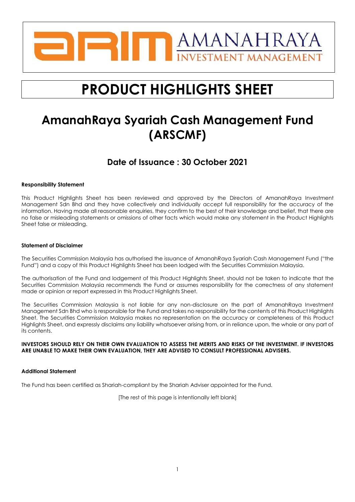

# **PRODUCT HIGHLIGHTS SHEET**

## **AmanahRaya Syariah Cash Management Fund (ARSCMF)**

## **Date of Issuance : 30 October 2021**

#### **Responsibility Statement**

This Product Highlights Sheet has been reviewed and approved by the Directors of AmanahRaya Investment Management Sdn Bhd and they have collectively and individually accept full responsibility for the accuracy of the information. Having made all reasonable enquiries, they confirm to the best of their knowledge and belief, that there are no false or misleading statements or omissions of other facts which would make any statement in the Product Highlights Sheet false or misleading.

#### **Statement of Disclaimer**

The Securities Commission Malaysia has authorised the issuance of AmanahRaya Syariah Cash Management Fund ("the Fund") and a copy of this Product Highlights Sheet has been lodged with the Securities Commission Malaysia.

The authorisation of the Fund and lodgement of this Product Highlights Sheet, should not be taken to indicate that the Securities Commission Malaysia recommends the Fund or assumes responsibility for the correctness of any statement made or opinion or report expressed in this Product Highlights Sheet.

The Securities Commission Malaysia is not liable for any non-disclosure on the part of AmanahRaya Investment Management Sdn Bhd who is responsible for the Fund and takes no responsibility for the contents of this Product Highlights Sheet. The Securities Commission Malaysia makes no representation on the accuracy or completeness of this Product Highlights Sheet, and expressly disclaims any liability whatsoever arising from, or in reliance upon, the whole or any part of its contents.

#### **INVESTORS SHOULD RELY ON THEIR OWN EVALUATION TO ASSESS THE MERITS AND RISKS OF THE INVESTMENT. IF INVESTORS ARE UNABLE TO MAKE THEIR OWN EVALUATION, THEY ARE ADVISED TO CONSULT PROFESSIONAL ADVISERS.**

#### **Additional Statement**

The Fund has been certified as Shariah-compliant by the Shariah Adviser appointed for the Fund.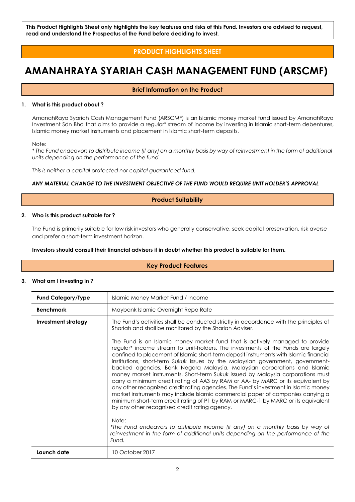**This Product Highlights Sheet only highlights the key features and risks of this Fund. Investors are advised to request, read and understand the Prospectus of the Fund before deciding to invest.**

### **PRODUCT HIGHLIGHTS SHEET**

## **AMANAHRAYA SYARIAH CASH MANAGEMENT FUND (ARSCMF)**

#### **Brief Information on the Product**

#### **1. What is this product about ?**

AmanahRaya Syariah Cash Management Fund (ARSCMF) is an Islamic money market fund issued by AmanahRaya Investment Sdn Bhd that aims to provide a regular\* stream of income by investing in Islamic short-term debentures, Islamic money market instruments and placement in Islamic short-term deposits.

Note:

\* The Fund endeavors to distribute income (if any) on a monthly basis by way of reinvestment in the form of additional *units depending on the performance of the fund.*

*This is neither a capital protected nor capital guaranteed fund.*

#### *ANY MATERIAL CHANGE TO THE INVESTMENT OBJECTIVE OF THE FUND WOULD REQUIRE UNIT HOLDER'S APPROVAL*

#### **Product Suitability**

#### **2. Who is this product suitable for ?**

The Fund is primarily suitable for low risk investors who generally conservative, seek capital preservation, risk averse and prefer a short-term investment horizon.

#### **Investors should consult their financial advisers if in doubt whether this product is suitable for them.**

#### **Key Product Features**

#### **3. What am I investing in ?**

| <b>Fund Category/Type</b> | Islamic Money Market Fund / Income                                                                                                                                                                                                                                                                                                                                                                                                                                                                                                                                                                                                                                                                                                                                                                                                                                                                                                     |  |  |
|---------------------------|----------------------------------------------------------------------------------------------------------------------------------------------------------------------------------------------------------------------------------------------------------------------------------------------------------------------------------------------------------------------------------------------------------------------------------------------------------------------------------------------------------------------------------------------------------------------------------------------------------------------------------------------------------------------------------------------------------------------------------------------------------------------------------------------------------------------------------------------------------------------------------------------------------------------------------------|--|--|
| <b>Benchmark</b>          | Maybank Islamic Overnight Repo Rate                                                                                                                                                                                                                                                                                                                                                                                                                                                                                                                                                                                                                                                                                                                                                                                                                                                                                                    |  |  |
| Investment strategy       | The Fund's activities shall be conducted strictly in accordance with the principles of<br>Shariah and shall be monitored by the Shariah Adviser.<br>The Fund is an Islamic money market fund that is actively managed to provide                                                                                                                                                                                                                                                                                                                                                                                                                                                                                                                                                                                                                                                                                                       |  |  |
|                           | regular <sup>*</sup> income stream to unit-holders. The investments of the Funds are largely<br>confined to placement of Islamic short-term deposit instruments with Islamic financial<br>institutions, short-term Sukuk issues by the Malaysian government, government-<br>backed agencies, Bank Negara Malaysia, Malaysian corporations and Islamic<br>money market instruments. Short-term Sukuk issued by Malaysia corporations must<br>carry a minimum credit rating of AA3 by RAM or AA- by MARC or its equivalent by<br>any other recognized credit rating agencies. The Fund's investment in Islamic money<br>market instruments may include Islamic commercial paper of companies carrying a<br>minimum short-term credit rating of P1 by RAM or MARC-1 by MARC or its equivalent<br>by any other recognised credit rating agency.<br>Note:<br>*The Fund endeavors to distribute income (if any) on a monthly basis by way of |  |  |
|                           | reinvestment in the form of additional units depending on the performance of the<br>Fund.                                                                                                                                                                                                                                                                                                                                                                                                                                                                                                                                                                                                                                                                                                                                                                                                                                              |  |  |
| Launch date               | 10 October 2017                                                                                                                                                                                                                                                                                                                                                                                                                                                                                                                                                                                                                                                                                                                                                                                                                                                                                                                        |  |  |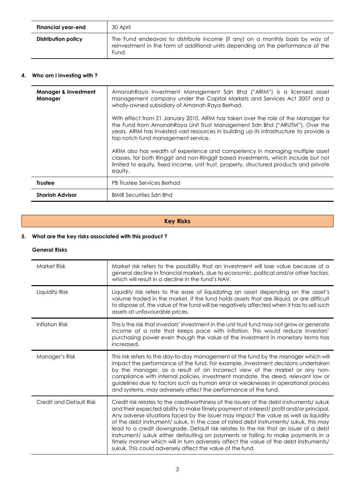| Financial year-end  | 30 April                                                                                                                                                                   |
|---------------------|----------------------------------------------------------------------------------------------------------------------------------------------------------------------------|
| Distribution policy | The Fund endeavors to distribute income (if any) on a monthly basis by way of<br>reinvestment in the form of additional units depending on the performance of the<br>Fund. |

#### **4. Who am I investing with ?**

| <b>Manager &amp; Investment</b><br>Manager | AmanahRaya Investment Management Sdn Bhd ("ARIM") is a licensed asset<br>management company under the Capital Markets and Services Act 2007 and a<br>wholly-owned subsidiary of Amanah Raya Berhad.                                                                                              |  |  |
|--------------------------------------------|--------------------------------------------------------------------------------------------------------------------------------------------------------------------------------------------------------------------------------------------------------------------------------------------------|--|--|
|                                            | With effect from 21 January 2010, ARIM has taken over the role of the Manager for<br>the Fund from Amanah Raya Unit Trust Management Sdn Bhd ("ARUTM"). Over the<br>years, ARIM has invested vast resources in building up its infrastructure to provide a<br>top notch fund management service. |  |  |
|                                            | ARIM also has wealth of experience and competency in managing multiple asset<br>classes, for both Ringgit and non-Ringgit based investments, which include but not<br>limited to equity, fixed income, unit trust, property, structured products and private<br>equity.                          |  |  |
| <b>Trustee</b>                             | <b>PB Trustee Services Berhad</b>                                                                                                                                                                                                                                                                |  |  |
| <b>Shariah Advisor</b>                     | <b>BIMB Securities Sdn Bhd</b>                                                                                                                                                                                                                                                                   |  |  |

## **Key Risks**

#### **5. What are the key risks associated with this product ?**

#### **General Risks**

| <b>Market Risk</b>      | Market risk refers to the possibility that an investment will lose value because of a<br>general decline in financial markets, due to economic, political and/or other factors,<br>which will result in a decline in the fund's NAV.                                                                                                                                                                                                                                                                                                                                                                                                                                                                  |  |  |
|-------------------------|-------------------------------------------------------------------------------------------------------------------------------------------------------------------------------------------------------------------------------------------------------------------------------------------------------------------------------------------------------------------------------------------------------------------------------------------------------------------------------------------------------------------------------------------------------------------------------------------------------------------------------------------------------------------------------------------------------|--|--|
| Liquidity Risk          | Liquidity risk refers to the ease of liquidating an asset depending on the asset's<br>volume traded in the market. If the fund holds assets that are illiquid, or are difficult<br>to dispose of, the value of the fund will be negatively affected when it has to sell such<br>assets at unfavourable prices.                                                                                                                                                                                                                                                                                                                                                                                        |  |  |
| <b>Inflation Risk</b>   | This is the risk that investors' investment in the unit trust fund may not grow or generate<br>income at a rate that keeps pace with inflation. This would reduce investors'<br>purchasing power even though the value of the investment in monetary terms has<br>increased.                                                                                                                                                                                                                                                                                                                                                                                                                          |  |  |
| Manager's Risk          | This risk refers to the day-to-day management of the fund by the manager which will<br>impact the performance of the fund. For example, investment decisions undertaken<br>by the manager, as a result of an incorrect view of the market or any non-<br>compliance with internal policies, investment mandate, the deed, relevant law or<br>guidelines due to factors such as human error or weaknesses in operational process<br>and systems, may adversely affect the performance of the fund.                                                                                                                                                                                                     |  |  |
| Credit and Default Risk | Credit risk relates to the creditworthiness of the issuers of the debt instruments/sukuk<br>and their expected ability to make timely payment of interest/profit and/or principal.<br>Any adverse situations faced by the issuer may impact the value as well as liquidity<br>of the debt instrument/ sukuk. In the case of rated debt instruments/ sukuk, this may<br>lead to a credit downgrade. Default risk relates to the risk that an issuer of a debt<br>instrument/ sukuk either defaulting on payments or failing to make payments in a<br>timely manner which will in turn adversely affect the value of the debt instruments/<br>sukuk. This could adversely affect the value of the fund. |  |  |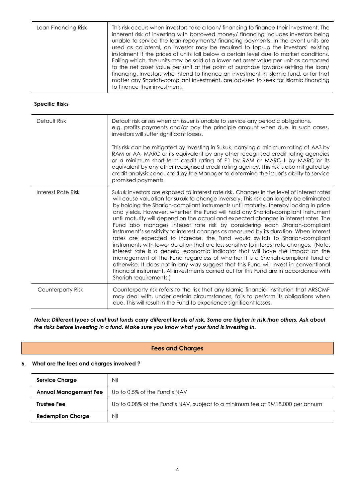| Loan Financing Risk | This risk occurs when investors take a loan/financing to finance their investment. The<br>inherent risk of investing with borrowed money/ financing includes investors being<br>unable to service the loan repayments/ financing payments. In the event units are<br>used as collateral, an investor may be required to top-up the investors' existing<br>instalment if the prices of units fall below a certain level due to market conditions.<br>Failing which, the units may be sold at a lower net asset value per unit as compared<br>to the net asset value per unit at the point of purchase towards settling the loan/<br>financing. Investors who intend to finance an investment in Islamic fund, or for that<br>matter any Shariah-compliant investment, are advised to seek for Islamic financing<br>to finance their investment. |
|---------------------|------------------------------------------------------------------------------------------------------------------------------------------------------------------------------------------------------------------------------------------------------------------------------------------------------------------------------------------------------------------------------------------------------------------------------------------------------------------------------------------------------------------------------------------------------------------------------------------------------------------------------------------------------------------------------------------------------------------------------------------------------------------------------------------------------------------------------------------------|
|                     |                                                                                                                                                                                                                                                                                                                                                                                                                                                                                                                                                                                                                                                                                                                                                                                                                                                |

#### **Specific Risks**

| Default Risk       | Default risk arises when an issuer is unable to service any periodic obligations,<br>e.g. profits payments and/or pay the principle amount when due. In such cases,<br>investors will suffer significant losses.<br>This risk can be mitigated by investing in Sukuk, carrying a minimum rating of AA3 by<br>RAM or AA- MARC or its equivalent by any other recognised credit rating agencies<br>or a minimum short-term credit rating of P1 by RAM or MARC-1 by MARC or its<br>equivalent by any other recognised credit rating agency. This risk is also mitigated by<br>credit analysis conducted by the Manager to determine the issuer's ability to service<br>promised payments.                                                                                                                                                                                                                                                                                                                                                                                                                                                                                                       |
|--------------------|----------------------------------------------------------------------------------------------------------------------------------------------------------------------------------------------------------------------------------------------------------------------------------------------------------------------------------------------------------------------------------------------------------------------------------------------------------------------------------------------------------------------------------------------------------------------------------------------------------------------------------------------------------------------------------------------------------------------------------------------------------------------------------------------------------------------------------------------------------------------------------------------------------------------------------------------------------------------------------------------------------------------------------------------------------------------------------------------------------------------------------------------------------------------------------------------|
| Interest Rate Risk | Sukuk investors are exposed to interest rate risk. Changes in the level of interest rates<br>will cause valuation for sukuk to change inversely. This risk can largely be eliminated<br>by holding the Shariah-compliant instruments until maturity, thereby locking in price<br>and yields. However, whether the Fund will hold any Shariah-compliant instrument<br>until maturity will depend on the actual and expected changes in interest rates. The<br>Fund also manages interest rate risk by considering each Shariah-compliant<br>instrument's sensitivity to interest changes as measured by its duration. When interest<br>rates are expected to increase, the Fund would switch to Shariah-compliant<br>instruments with lower duration that are less sensitive to interest rate changes. (Note:<br>Interest rate is a general economic indicator that will have the impact on the<br>management of the Fund regardless of whether it is a Shariah-compliant fund or<br>otherwise. It does not in any way suggest that this Fund will invest in conventional<br>financial instrument. All investments carried out for this Fund are in accordance with<br>Shariah requirements.) |
| Counterparty Risk  | Counterparty risk refers to the risk that any Islamic financial institution that ARSCMF<br>may deal with, under certain circumstances, fails to perform its obligations when<br>due. This will result in the Fund to experience significant losses.                                                                                                                                                                                                                                                                                                                                                                                                                                                                                                                                                                                                                                                                                                                                                                                                                                                                                                                                          |

*Notes: Different types of unit trust funds carry different levels of risk. Some are higher in risk than others. Ask about the risks before investing in a fund. Make sure you know what your fund is investing in.*

#### **Fees and Charges**

#### **6. What are the fees and charges involved ?**

| <b>Service Charge</b>        | Nil                                                                           |
|------------------------------|-------------------------------------------------------------------------------|
| <b>Annual Management Fee</b> | Up to 0.5% of the Fund's NAV                                                  |
| <b>Trustee Fee</b>           | Up to 0.08% of the Fund's NAV, subject to a minimum fee of RM18,000 per annum |
| <b>Redemption Charge</b>     | Nil                                                                           |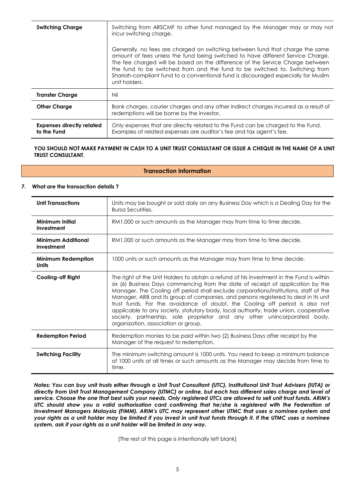| <b>Switching Charge</b>                         | Switching from ARSCMF to other fund managed by the Manager may or may not<br>incur switching charge.<br>Generally, no fees are charged on switching between fund that charge the same<br>amount of fees unless the fund being switched to have different Service Charge.<br>The fee charged will be based on the difference of the Service Charge between<br>the fund to be switched from and the fund to be switched to. Switching from<br>Shariah-compliant fund to a conventional fund is discouraged especially for Muslim<br>unit holders. |
|-------------------------------------------------|-------------------------------------------------------------------------------------------------------------------------------------------------------------------------------------------------------------------------------------------------------------------------------------------------------------------------------------------------------------------------------------------------------------------------------------------------------------------------------------------------------------------------------------------------|
| <b>Transfer Charge</b>                          | Nil                                                                                                                                                                                                                                                                                                                                                                                                                                                                                                                                             |
| <b>Other Charge</b>                             | Bank charges, courier charges and any other indirect charges incurred as a result of<br>redemptions will be borne by the investor.                                                                                                                                                                                                                                                                                                                                                                                                              |
| <b>Expenses directly related</b><br>to the Fund | Only expenses that are directly related to the Fund can be charged to the Fund.<br>Examples of related expenses are auditor's fee and tax agent's fee.                                                                                                                                                                                                                                                                                                                                                                                          |

#### YOU SHOULD NOT MAKE PAYMENT IN CASH TO A UNIT TRUST CONSULTANT OR ISSUE A CHEQUE IN THE NAME OF A UNIT **TRUST CONSULTANT.**

#### **Transaction Information**

#### **7. What are the transaction details ?**

| <b>Unit Transactions</b>                  | Units may be bought or sold daily on any Business Day which is a Dealing Day for the<br><b>Bursa Securities.</b>                                                                                                                                                                                                                                                                                                                                                                                                                                                                                                                                      |  |  |  |
|-------------------------------------------|-------------------------------------------------------------------------------------------------------------------------------------------------------------------------------------------------------------------------------------------------------------------------------------------------------------------------------------------------------------------------------------------------------------------------------------------------------------------------------------------------------------------------------------------------------------------------------------------------------------------------------------------------------|--|--|--|
| Minimum Initial<br>Investment             | RM1,000 or such amounts as the Manager may from time to time decide.                                                                                                                                                                                                                                                                                                                                                                                                                                                                                                                                                                                  |  |  |  |
| Minimum Additional<br>Investment          | RM1,000 or such amounts as the Manager may from time to time decide.                                                                                                                                                                                                                                                                                                                                                                                                                                                                                                                                                                                  |  |  |  |
| <b>Minimum Redemption</b><br><b>Units</b> | 1000 units or such amounts as the Manager may from time to time decide.                                                                                                                                                                                                                                                                                                                                                                                                                                                                                                                                                                               |  |  |  |
| <b>Cooling-off Right</b>                  | The right of the Unit Holders to obtain a refund of his investment in the Fund is within<br>six (6) Business Days commencing from the date of receipt of application by the<br>Manager. The Cooling off period shall exclude corporations/institutions, staff of the<br>Manager, ARB and its group of companies, and persons registered to deal in its unit<br>trust funds. For the avoidance of doubt, the Cooling off period is also not<br>applicable to any society, statutory body, local authority, trade union, cooperative<br>society, partnership, sole proprietor and any other unincorporated body,<br>organization, association or group. |  |  |  |
| <b>Redemption Period</b>                  | Redemption monies to be paid within two (2) Business Days after receipt by the<br>Manager of the request to redemption.                                                                                                                                                                                                                                                                                                                                                                                                                                                                                                                               |  |  |  |
| <b>Switching Facility</b>                 | The minimum switching amount is 1000 units. You need to keep a minimum balance<br>of 1000 units at all times or such amounts as the Manager may decide from time to<br>time.                                                                                                                                                                                                                                                                                                                                                                                                                                                                          |  |  |  |

*Notes: You can buy unit trusts either through a Unit Trust Consultant (UTC), Institutional Unit Trust Advisers (IUTA) or directly from Unit Trust Management Company (UTMC) or online, but each has different sales charge and level of service. Choose the one that best suits your needs. Only registered UTCs are allowed to sell unit trust funds. ARIM's UTC should show you a valid authorisation card confirming that he/she is registered with the Federation of Investment Managers Malaysia (FIMM). ARIM's UTC may represent other UTMC that uses a nominee system and your rights as a unit holder may be limited if you invest in unit trust funds through it. If the UTMC uses a nominee system, ask if your rights as a unit holder will be limited in any way.*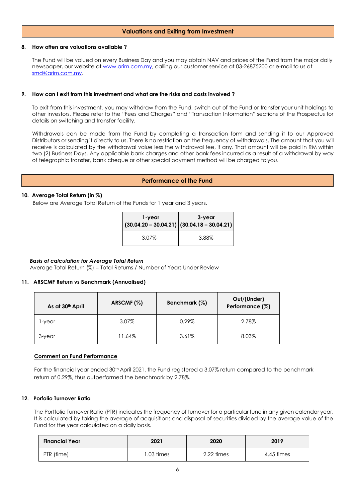#### **Valuations and Exiting from Investment**

#### **8. How often are valuations available ?**

The Fund will be valued on every Business Day and you may obtain NAV and prices of the Fund from the major daily newspaper, our website a[t www.arim.com.my,](http://www.arim.com.my/) calling our customer service at 03-26875200 or e-mail to us at [smd@arim.com.my.](mailto:sales@arim.com.my)

#### **9. How can I exit from this investment and what are the risks and costs involved ?**

To exit from this investment, you may withdraw from the Fund, switch out of the Fund or transfer your unit holdings to other investors. Please refer to the "Fees and Charges" and "Transaction Information" sections of the Prospectus for details on switching and transfer facility.

Withdrawals can be made from the Fund by completing a transaction form and sending it to our Approved Distributors or sending it directly to us. There is no restriction on the frequency of withdrawals. The amount that you will receive is calculated by the withdrawal value less the withdrawal fee, if any. That amount will be paid in RM within two (2) Business Days. Any applicable bank charges and other bank fees incurred as a result of a withdrawal by way of telegraphic transfer, bank cheque or other special payment method will be charged to you.

#### **Performance of the Fund**

#### **10. Average Total Return (in %)**

Below are Average Total Return of the Funds for 1 year and 3 years.

| 1-year | 3-year<br>$(30.04.20 - 30.04.21)   (30.04.18 - 30.04.21)$ |  |
|--------|-----------------------------------------------------------|--|
| 3.07%  | 3.88%                                                     |  |

#### *Basis of calculation for Average Total Return*

Average Total Return (%) = Total Returns / Number of Years Under Review

#### **11. ARSCMF Return vs Benchmark (Annualised)**

| As at 30th April | ARSCMF (%) | Benchmark (%) | Out/(Under)<br>Performance (%) |
|------------------|------------|---------------|--------------------------------|
| l-year           | 3.07%      | 0.29%         | 2.78%                          |
| 3-year           | 11.64%     | 3.61%         | 8.03%                          |

#### **Comment on Fund Performance**

For the financial year ended 30<sup>th</sup> April 2021, the Fund registered a 3.07% return compared to the benchmark return of 0.29%, thus outperformed the benchmark by 2.78%.

#### **12. Porfolio Turnover Ratio**

The Portfolio Turnover Ratio (PTR) indicates the frequency of turnover for a particular fund in any given calendar year. It is calculated by taking the average of acquisitions and disposal of securities divided by the average value of the Fund for the year calculated on a daily basis.

| <b>Financial Year</b> | 2021       | 2020       | 2019       |
|-----------------------|------------|------------|------------|
| PTR (time)            | 1.03 times | 2.22 times | 4.45 times |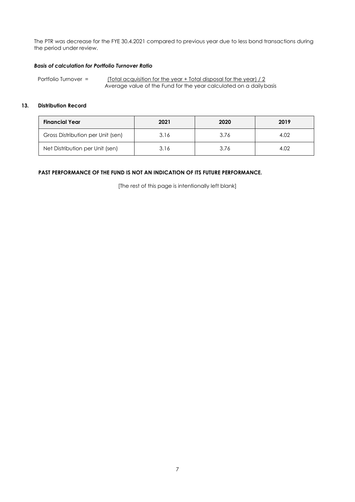The PTR was decrease for the FYE 30.4.2021 compared to previous year due to less bond transactions during the period under review.

#### *Basis of calculation for Portfolio Turnover Ratio*

Portfolio Turnover = (Total acquisition for the year + Total disposal for the year) / 2 Average value of the Fund for the year calculated on a dailybasis

#### **13. Distribution Record**

| <b>Financial Year</b>             | 2021 | 2020 | 2019 |
|-----------------------------------|------|------|------|
| Gross Distribution per Unit (sen) | 3.16 | 3.76 | 4.02 |
| Net Distribution per Unit (sen)   | 3.16 | 3.76 | 4.02 |

#### **PAST PERFORMANCE OF THE FUND IS NOT AN INDICATION OF ITS FUTURE PERFORMANCE.**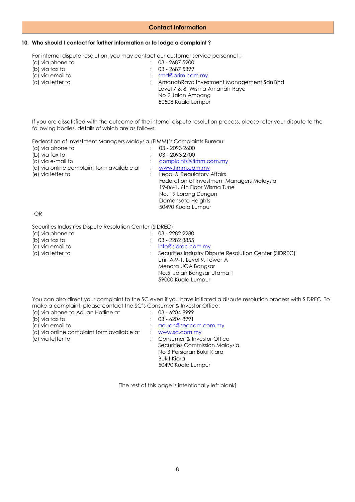#### **Contact Information**

#### **10. Who should I contact for further information or to lodge a complaint ?**

For internal dispute resolution, you may contact our customer service personnel :-<br>(a) via phone to  $\qquad \qquad$  : 03 - 2687 5200

(a) via phone to<br>(b) via fax to (b) via fax to : 03 - 2687 5399<br>
(c) via email to : smd@arim.com (c) via email to : [smd@arim.com.my](mailto:sales@arim.com.my) : AmanahRaya Investment Management Sdn Bhd Level 7 & 8, Wisma Amanah Raya No 2 Jalan Ampang 50508 Kuala Lumpur

If you are dissatisfied with the outcome of the internal dispute resolution process, please refer your dispute to the following bodies, details of which are as follows:

Federation of Investment Managers Malaysia (FIMM)'s Complaints Bureau:

| (a) via phone to                           | 03 - 2093 2600                             |
|--------------------------------------------|--------------------------------------------|
| (b) via fax to                             | 03 - 2093 2700                             |
| (c) via e-mail to                          | complaints@fimm.com.my                     |
| (d) via online complaint form available at | www.fimm.com.my                            |
| (e) via letter to                          | Legal & Regulatory Affairs                 |
|                                            | Federation of Investment Managers Malaysia |
|                                            | 19-06-1, 6th Floor Wisma Tune              |
|                                            | No. 19 Lorong Dungun                       |
|                                            | Damansara Heights                          |
|                                            | 50490 Kuala Lumpur                         |
|                                            |                                            |

OR

Securities Industries Dispute Resolution Center (SIDREC)

| (a) via phone to  | 03 - 2282 2280                                         |
|-------------------|--------------------------------------------------------|
| (b) via fax to    | 03 - 2282 3855                                         |
| (c) via email to  | $:$ info@sidrec.com.my                                 |
| (d) via letter to | Securities Industry Dispute Resolution Center (SIDREC) |
|                   | Unit A-9-1, Level 9, Tower A                           |
|                   | Menara UOA Bangsar                                     |
|                   | No.5, Jalan Bangsar Utama 1                            |
|                   | 59000 Kuala Lumpur                                     |
|                   |                                                        |

You can also direct your complaint to the SC even if you have initiated a dispute resolution process with SIDREC. To make a complaint, please contact the SC's Consumer & Investor Office:

| (a) via phone to Aduan Hotline at          | $: 03 - 62048999$              |
|--------------------------------------------|--------------------------------|
| (b) via fax to                             | $: 03 - 62048991$              |
| (c) via email to                           | : aduan@seccom.com.my          |
| (d) via online complaint form available at | www.sc.com.my                  |
| (e) via letter to                          | : Consumer & Investor Office   |
|                                            | Securities Commission Malaysia |
|                                            | No 3 Persiaran Bukit Kiara     |
|                                            | <b>Bukit Kiara</b>             |
|                                            | 50490 Kuala Lumpur             |
|                                            |                                |